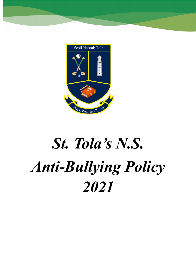

# *St. Tola's N.S. Anti-Bullying Policy 2021*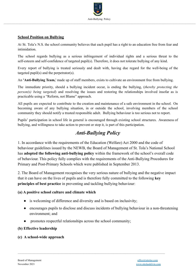

#### **School Position on Bullying**

At St. Tola's N.S. the school community believes that each pupil has a right to an education free from fear and intimidation.

The school regards bullying as a serious infringement of individual rights and a serious threat to the self-esteem and self-confidence of targeted pupil(s). Therefore, it does not tolerate bullying of any kind.

Every report of bullying is treated seriously and dealt with, having due regard for the well-being of the targeted pupil(s) and the perpetrator(s).

An **'Anti-Bullying Team,**' made up of staff members, exists to cultivate an environment free from bullying.

The immediate priority, should a bullying incident occur, is ending the bullying, (*thereby protecting the person(s) being targeted*) and resolving the issues and restoring the relationships involved insofar as is practicable using a "Reform, not Blame" approach.

All pupils are expected to contribute to the creation and maintenance of a safe environment in the school. On becoming aware of any bullying situation, in or outside the school, involving members of the school community they should notify a trusted responsible adult. Bullying behaviour is too serious not to report.

Pupils' participation in school life in general is encouraged through existing school structures. Awareness of bullying, and willingness to take action to prevent or stop it, is part of this participation.

# *Anti-Bullying Policy*

1. In accordance with the requirements of the Education (Welfare) Act 2000 and the code of behaviour guidelines issued by the NEWB, the Board of Management of St. Tola's National School has **adopted the following anti-bullying policy** within the framework of the school's overall code of behaviour. This policy fully complies with the requirements of the Anti-Bullying Procedures for Primary and Post-Primary Schools which were published in September 2013.

2. The Board of Management recognises the very serious nature of bullying and the negative impact that it can have on the lives of pupils and is therefore fully committed to the following **key principles of best practice** in preventing and tackling bullying behaviour:

#### **(a) A positive school culture and climate which**

- is welcoming of difference and diversity and is based on inclusivity;
- encourages pupils to disclose and discuss incidents of bullying behaviour in a non-threatening environment; and

 $\mathcal{L}_\mathcal{L} = \{ \mathcal{L}_\mathcal{L} = \{ \mathcal{L}_\mathcal{L} = \{ \mathcal{L}_\mathcal{L} = \{ \mathcal{L}_\mathcal{L} = \{ \mathcal{L}_\mathcal{L} = \{ \mathcal{L}_\mathcal{L} = \{ \mathcal{L}_\mathcal{L} = \{ \mathcal{L}_\mathcal{L} = \{ \mathcal{L}_\mathcal{L} = \{ \mathcal{L}_\mathcal{L} = \{ \mathcal{L}_\mathcal{L} = \{ \mathcal{L}_\mathcal{L} = \{ \mathcal{L}_\mathcal{L} = \{ \mathcal{L}_\mathcal{$ 

promotes respectful relationships across the school community;

#### **(b) Effective leadership**

#### **(c) A school-wide approach**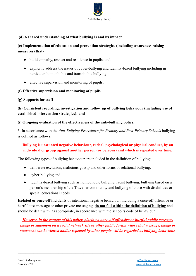

## **(d) A shared understanding of what bullying is and its impact**

## **(e) Implementation of education and prevention strategies (including awareness raising measures) that**-

- build empathy, respect and resilience in pupils; and
- explicitly address the issues of cyber-bullying and identity-based bullying including in particular, homophobic and transphobic bullying;
- effective supervision and monitoring of pupils;

#### **(f) Effective supervision and monitoring of pupils**

#### **(g) Supports for staff**

# **(h) Consistent recording, investigation and follow up of bullying behaviour (including use of established intervention strategies); and**

#### **(i) On-going evaluation of the effectiveness of the anti-bullying policy.**

3. In accordance with the *Anti-Bullying Procedures for Primary and Post-Primary Schools* bullying is defined as follows:

## **Bullying is unwanted negative behaviour, verbal, psychological or physical conduct, by an individual or group against another person (or persons) and which is repeated over time.**

The following types of bullying behaviour are included in the definition of bullying:

- deliberate exclusion, malicious gossip and other forms of relational bullying,
- cyber-bullying and
- identity-based bullying such as homophobic bullying, racist bullying, bullying based on a person's membership of the Traveller community and bullying of those with disabilities or special educational needs.

**Isolated or once-off incidents** of intentional negative behaviour, including a once-off offensive or hurtful text message or other private messaging, **do not fall within the definition of bullying** and should be dealt with, as appropriate, in accordance with the school's code of behaviour.

*However, in the context of this policy, placing a once-off offensive or hurtful public message, image or statement on a social network site or other public forum where that message, image or statement can be viewed and/or repeated by other people will be regarded as bullying behaviour.*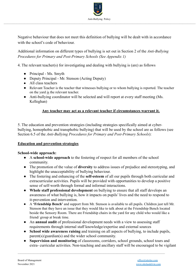

Negative behaviour that does not meet this definition of bullying will be dealt with in accordance with the school's code of behaviour.

Additional information on different types of bullying is set out in Section 2 of the *Anti-Bullying Procedures for Primary and Post-Primary Schools (See Appendix 1)*

4. The relevant teacher(s) for investigating and dealing with bullying is (are) as follows

- Principal Ms. Smyth
- Deputy Principal Mr. Stenson (Acting Deputy)
- All class teachers
- Relevant Teacher is the teacher that witnesses bullying or to whom bullying is reported. The teacher on the yard is the relevant teacher.
- Anti-bullying coordinator will be selected and will report at every staff meeting (Ms. Kelleghan)

#### **Any teacher may act as a relevant teacher if circumstances warrant it.**

5. The education and prevention strategies (including strategies specifically aimed at cyberbullying, homophobic and transphobic bullying) that will be used by the school are as follows (see Section 6.5 of the *Anti-Bullying Procedures for Primary and Post-Primary Schools*):

#### **Education and prevention strategies**

#### **School-wide approach:**

- A **school-wide approach** to the fostering of respect for all members of the school community.
- The promotion of the value of **diversity** to address issues of prejudice and stereotyping, and highlight the unacceptability of bullying behaviour.
- The fostering and enhancing of the **self-esteem** of all our pupils through both curricular and extracurricular activities. Pupils will be provided with opportunities to develop a positive sense of self-worth through formal and informal interactions.
- **Whole staff professional development** on bullying to ensure that all staff develops an awareness of what bullying is, how it impacts on pupils' lives and the need to respond to it-prevention and intervention.
- A **'Friendship Bench'** and support from Mr. Stenson is available to all pupils. Children just tell Mr. Stenson that they have an issue that they would like to talk about at the Friendship Bench located beside the Sensory Room. There are Friendship chairs in the yard for any child who would like a friend/ group at break time.
- An **annual audit** of professional development needs with a view to assessing staff requirements through internal staff knowledge/expertise and external sources

- **School wide awareness raising** and training on all aspects of bullying, to include pupils, parent(s)/guardian(s) and the wider school community.
- **Supervision and monitoring** of classrooms, corridors, school grounds, school tours and extra- curricular activities. Non-teaching and ancillary staff will be encouraged to be vigilant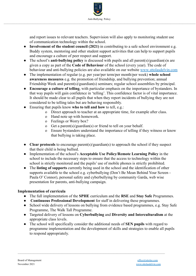

and report issues to relevant teachers. Supervision will also apply to monitoring student use of communication technology within the school.

- **Involvement of the student council (2021)** in contributing to a safe school environment e.g. Buddy system, mentoring and other student support activities that can help to support pupils and encourage a culture of peer respect and support.
- The school's **anti-bullying policy** is discussed with pupils and all parent(s)/guardian(s)s are given a copy as part of the **Code of Behaviour** of the school (every year). The code of behaviour and anti-bullying policies are also available on our website [www.](http://www.castlegarns.ie)sttolasdelvin.com
- The implementation of regular (e.g. per year/per term/per month/per week) **whole school awareness measures** e.g. the promotion of friendship, and bullying prevention; annual Friendship Week and parent(s)/guardian(s) seminars; regular school assemblies by principal.
- **Encourage a culture of telling**, with particular emphasis on the importance of bystanders. In that way pupils will gain confidence in 'telling'. This confidence factor is of vital importance. It should be made clear to all pupils that when they report incidents of bullying they are not considered to be telling tales but are behaving responsibly.
- Ensuring that pupils know **who to tell and how** to tell, e.g.:
	- o Direct approach to teacher at an appropriate time, for example after class.
	- o Hand note up with homework.
	- o Feelings or Worry box?
	- o Get a parent(s)/guardian(s) or friend to tell on your behalf.
	- o Ensure bystanders understand the importance of telling if they witness or know that bullying is taking place.
- **Clear protocols** to encourage parent(s)/guardian(s) to approach the school if they suspect that their child is being bullied.
- Implementation of the school's **Acceptable Use Policy/Remote Learning Policy** in the school to include the necessary steps to ensure that the access to technology within the school is strictly monitored and the pupils' use of mobile phones is strictly prohibited.
- The **listing of supports** currently being used in the school and the identification of other supports available to the school e.g. cyberbullying (Don't Be Mean Behind Your Screen - Paula O' Connor), personal safety and cyberbullying by community Garda, web wise presentation for parents, anti-bullying campaign.

#### **Implementation of curricula**

- The full implementation of the **SPHE** curriculum and the **RSE** and **Stay Safe** Programmes.
- **Continuous Professional Development** for staff in delivering these programmes.

- School wide delivery of lessons on bullying from evidence based programmes, e.g. Stay Safe Programme, The Walk Tall Programme.
- Targeted delivery of lessons on **Cyberbullying** and **Diversity and Interculturalism** at the appropriate class levels.
- The school will specifically consider the additional needs of **SEN pupils** with regard to programme implementation and the development of skills and strategies to enable all pupils to respond appropriately.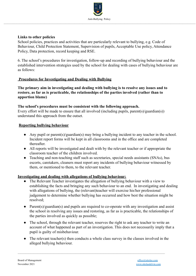

#### **Links to other policies**

School policies, practices and activities that are particularly relevant to bullying, e.g. Code of Behaviour, Child Protection Statement, Supervision of pupils, Acceptable Use policy, Attendance Policy, Data protection, record keeping and RSE.

6. The school's procedures for investigation, follow-up and recording of bullying behaviour and the established intervention strategies used by the school for dealing with cases of bullying behaviour are as follows:

#### **Procedures for Investigating and Dealing with Bullying**

**The primary aim in investigating and dealing with bullying is to resolve any issues and to restore, as far as is practicable, the relationships of the parties involved (rather than to apportion blame)**

#### **The school's procedures must be consistent with the following approach.**

Every effort will be made to ensure that all involved (including pupils, parent(s)/guardian(s)) understand this approach from the outset.

#### **Reporting bullying behaviour**

- Any pupil or parent(s)/guardian(s) may bring a bullying incident to any teacher in the school. Incident report forms will be kept in all classrooms and in the office and are completed thereafter.
- All reports will be investigated and dealt with by the relevant teacher or if appropriate the classroom teacher of the children involved.
- Teaching and non-teaching staff such as secretaries, special needs assistants (SNAs), bus escorts, caretakers, cleaners must report any incidents of bullying behaviour witnessed by them, or mentioned to them, to the relevant teacher.

#### **Investigating and dealing with allegations of bullying behaviour:**

- The Relevant Teacher investigates the allegation of bullying behaviour with a view to establishing the facts and bringing any such behaviour to an end. In investigating and dealing with allegations of bullying, the (relevant)teacher will exercise his/her professional judgement to determine whether bullying has occurred and how best the situation might be resolved;
- Parent(s)/guardian(s) and pupils are required to co-operate with any investigation and assist the school in resolving any issues and restoring, as far as is practicable, the relationships of the parties involved as quickly as possible;
- The school, through the relevant teacher, reserves the right to ask any teacher to write an account of what happened as part of an investigation. This does not necessarily imply that a pupil is guilty of misbehaviour.
- The relevant teacher(s) then conducts a whole class survey in the classes involved in the alleged bullying behaviour.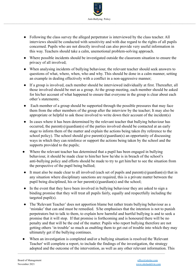

- Following the class survey the alleged perpetrator is interviewed by the class teacher. All interviews should be conducted with sensitivity and with due regard to the rights of all pupils concerned. Pupils who are not directly involved can also provide very useful information in this way. Teachers should take a calm, unemotional problem-solving approach.
- Where possible incidents should be investigated outside the classroom situation to ensure the privacy of all involved;
- When analysing incidents of bullying behaviour, the relevant teacher should seek answers to questions of what, where, when, who and why. This should be done in a calm manner, setting an example in dealing effectively with a conflict in a non-aggressive manner;
- If a group is involved, each member should be interviewed individually at first. Thereafter, all those involved should be met as a group. At the group meeting, each member should be asked for his/her account of what happened to ensure that everyone in the group is clear about each other's statements;
- Each member of a group should be supported through the possible pressures that may face them from the other members of the group after the interview by the teacher; It may also be appropriate or helpful to ask those involved to write down their account of the incident(s)
- In cases where it has been determined by the relevant teacher that bullying behaviour has occurred, the parent(s)/guardian(s) of the parties involved should be contacted at an early stage to inform them of the matter and explain the actions being taken (by reference to the school policy). The school should give parent(s)/guardian(s) an opportunity of discussing ways in which they can reinforce or support the actions being taken by the school and the supports provided to the pupils;
- Where the relevant teacher has determined that a pupil has been engaged in bullying behaviour, it should be made clear to him/her how he/she is in breach of the school's anti-bullying policy and efforts should be made to try to get him/her to see the situation from the perspective of the pupil being bullied;
- It must also be made clear to all involved (each set of pupils and parent(s)/guardian(s)) that in any situation where disciplinary sanctions are required, this is a private matter between the pupil being disciplined, his or her parent(s)/guardian(s) and the school;
- In the event that they have been involved in bullying behaviour they are asked to sign a binding promise that they will treat all pupils fairly, equally and respectfully including the targeted pupil(s).
- The 'Relevant Teacher' does not apportion blame but rather treats bullying behaviour as a 'mistake' that can and must be remedied. S/he emphasises that the intention is not to punish perpetrators but to talk to them, to explain how harmful and hurtful bullying is and to seek a promise that it will stop. If that promise is forthcoming and is honoured there will be no penalty and that will be the end of the matter. Pupils who report bullying therefore are not getting others 'in trouble' so much as enabling them to get out of trouble into which they may ultimately get if the bullying continues.
- When an investigation is completed and/or a bullying situation is resolved the 'Relevant' Teacher' will complete a report, to include the findings of the investigation, the strategy adopted and the outcome of the intervention, as well as any other relevant information. This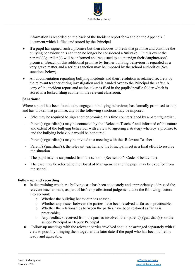

information is recorded on the back of the Incident report form and on the Appendix 3 document which is filed and stored by the Principal.

- If a pupil has signed such a promise but then chooses to break that promise and continue the bullying behaviour, this can then no longer be considered a 'mistake.' In this event the parent(s)/guardian(s) will be informed and requested to countersign their daughter/son's promise. Breach of this additional promise by further bullying behaviour is regarded as a very grave matter and a serious sanction may be imposed by the school authorities (See sanctions below).
- All documentation regarding bullying incidents and their resolution is retained securely by the relevant teacher during investigation and is handed over to the Principal thereafter. A copy of the incident report and action taken is filed in the pupils' profile folder which is stored in a locked filing cabinet in the relevant classroom.

#### **Sanctions:**

Where a pupil has been found to be engaged in bullying behaviour, has formally promised to stop and has broken that promise, any of the following sanctions may be imposed:

- S/he may be required to sign another promise, this time countersigned by a parent/guardian;
- Parent(s)/guardian(s) may be contacted by the 'Relevant Teacher' and informed of the nature and extent of the bullying behaviour with a view to agreeing a strategy whereby a promise to end the bullying behaviour would be honoured;
- Parent(s)/guardian(s) may be invited to a meeting with the 'Relevant Teacher'.
- Parent(s)/guardian(s), the relevant teacher and the Principal meet in a final effort to resolve the situation.
- The pupil may be suspended from the school. (See school's Code of behaviour)
- The case may be referred to the Board of Management and the pupil may be expelled from the school.

#### **Follow up and recording**

- In determining whether a bullying case has been adequately and appropriately addressed the relevant teacher must, as part of his/her professional judgement, take the following factors into account:
	- o Whether the bullying behaviour has ceased;
	- o Whether any issues between the parties have been resolved as far as is practicable;
	- o Whether the relationships between the parties have been restored as far as is practicable;
	- o Any feedback received from the parties involved, their parent(s)/guardian(s)s or the school Principal or Deputy Principal
- Follow-up meetings with the relevant parties involved should be arranged separately with a view to possibly bringing them together at a later date if the pupil who has been bullied is ready and agreeable.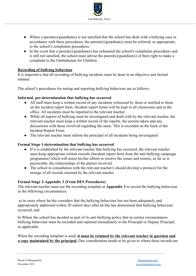

- Where a parent(s)/guardian(s) is not satisfied that the school has dealt with a bullying case in accordance with these procedures, the parent(s)/guardian(s) must be referred, as appropriate, to the school's complaints procedures.
- In the event that a parent(s)/guardian(s) has exhausted the school's complaints procedures and is still not satisfied, the school must advise the parent(s)/guardian(s) of their right to make a complaint to the Ombudsman for Children.

#### **Recording of bullying behaviour**

It is imperative that all recording of bullying incidents must be done in an objective and factual manner.

The school's procedures for noting and reporting bullying behaviour are as follows:

#### **Informal- pre-determination that bullying has occurred**

- All staff must keep a written record of any incidents witnessed by them or notified to them on the incident report form. Incident report forms will be kept in all classrooms and in the office. All incidents must be reported to the relevant teacher.
- While all reports of bullying must be investigated and dealt with by the relevant teacher, the relevant teacher must keep a written record of the reports, the actions taken and any discussions with those involved regarding the same. This is recorded on the back of the Incident Report Form.
- The relevant teacher must inform the principal of all incidents being investigated.

#### **Formal Stage 1-determination that bullying has occurred**

- If it is established by the relevant teacher that bullying has occurred, the relevant teacher must keep appropriate written records (Incident report form from the anti bullying campaign programme) which will assist his/her efforts to resolve the issues and restore, as far as is practicable, the relationships of the parties involved.
- The school in consultation with the relevant teacher/s should develop a protocol for the storage of all records retained by the relevant teacher.

#### **Formal Stage 2-Appendix 3 (From DES Procedures)**

The relevant teacher must use the recording template at **Appendix 3** to record the bullying behaviour in the following circumstances:

a) in cases where he/she considers that the bullying behaviour has not been adequately and appropriately addressed within 20 school days after he/she has determined that bullying behaviour occurred; and

b) Where the school has decided as part of its anti-bullying policy that in certain circumstances bullying behaviour must be recorded and reported immediately to the Principal or Deputy Principal as applicable.

When the recording template is used, **it must be retained by the relevant teacher in question and a copy maintained by the principal.** Due consideration needs to be given to where these records are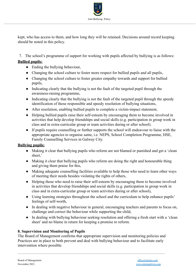

kept, who has access to them, and how long they will be retained. Decisions around record keeping should be noted in this policy.

7. The school's programme of support for working with pupils affected by bullying is as follows: **Bullied pupils:**

- Ending the bullying behaviour,
- Changing the school culture to foster more respect for bullied pupils and all pupils,
- Changing the school culture to foster greater empathy towards and support for bullied pupils,
- Indicating clearly that the bullying is not the fault of the targeted pupil through the awareness-raising programme,
- Indicating clearly that the bullying is not the fault of the targeted pupil through the speedy identification of those responsible and speedy resolution of bullying situations,
- After resolution, enabling bullied pupils to complete a victim-impact statement,
- Helping bullied pupils raise their self-esteem by encouraging them to become involved in activities that help develop friendships and social skills (e.g. participation in group work in class and in extra-curricular group or team activities during or after school).
- If pupils require counselling or further supports the school will endeavour to liaise with the appropriate agencies to organise same, i.e. NEPS, School Completion Programme, HSE, Family Counselling Services in Galway City.

#### **Bullying pupils:**

- Making it clear that bullying pupils who reform are not blamed or punished and get a 'clean' sheet,'
- Making it clear that bullying pupils who reform are doing the right and honourable thing and giving them praise for this,
- Making adequate counselling facilities available to help those who need to learn other ways of meeting their needs besides violating the rights of others,
- Helping those who need to raise their self-esteem by encouraging them to become involved in activities that develop friendships and social skills (e.g. participation in group work in class and in extra-curricular group or team activities during or after school),
- Using learning strategies throughout the school and the curriculum to help enhance pupils' feelings of self-worth,
- In dealing with negative behaviour in general, encouraging teachers and parents to focus on, challenge and correct the behaviour while supporting the child,
- In dealing with bullying behaviour seeking resolution and offering a fresh start with a 'clean sheet' and no blame in return for keeping a promise to reform.

#### **8. Supervision and Monitoring of Pupils**

The Board of Management confirms that appropriate supervision and monitoring policies and Practices are in place to both prevent and deal with bullying behaviour and to facilitate early intervention where possible.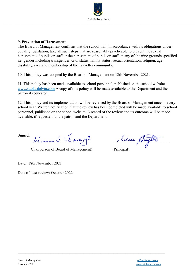

#### **9. Prevention of Harassment**

The Board of Management confirms that the school will, in accordance with its obligations under equality legislation, take all such steps that are reasonably practicable to prevent the sexual harassment of pupils or staff or the harassment of pupils or staff on any of the nine grounds specified i.e. gender including transgender, civil status, family status, sexual orientation, religion, age, disability, race and membership of the Traveller community.

10. This policy was adopted by the Board of Management on 18th November 2021.

11. This policy has been made available to school personnel, published on the school website [www.](http://www.castlegarns.ie)sttolasdelvin.com.A copy of this policy will be made available to the Department and the patron if requested.

 $\mathcal{L}_\mathcal{L} = \{ \mathcal{L}_\mathcal{L} = \{ \mathcal{L}_\mathcal{L} = \{ \mathcal{L}_\mathcal{L} = \{ \mathcal{L}_\mathcal{L} = \{ \mathcal{L}_\mathcal{L} = \{ \mathcal{L}_\mathcal{L} = \{ \mathcal{L}_\mathcal{L} = \{ \mathcal{L}_\mathcal{L} = \{ \mathcal{L}_\mathcal{L} = \{ \mathcal{L}_\mathcal{L} = \{ \mathcal{L}_\mathcal{L} = \{ \mathcal{L}_\mathcal{L} = \{ \mathcal{L}_\mathcal{L} = \{ \mathcal{L}_\mathcal{$ 

12. This policy and its implementation will be reviewed by the Board of Management once in every school year. Written notification that the review has been completed will be made available to school personnel, published on the school website. A record of the review and its outcome will be made available, if requested, to the patron and the Department.

Signed: Sévannes Ó hEanaigh Sileen Du

(Chairperson of Board of Management) (Principal)

Date: 18th November 2021

Date of next review: October 2022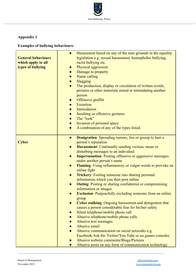

# **Appendix 1**

# **Examples of bullying behaviours:**

| <b>General behaviours</b><br>which apply to all<br>types of bullying | Harassment based on any of the nine grounds in the equality<br>$\bullet$<br>legislation e.g. sexual harassment, homophobic bullying,<br>racist bullying etc.<br>Physical aggression<br>$\bullet$<br>Damage to property<br>$\bullet$<br>Name calling<br>$\bullet$<br>Slagging<br>$\bullet$<br>The production, display or circulation of written words,<br>$\bullet$<br>pictures or other materials aimed at intimidating another<br>person<br>Offensive graffiti<br>$\bullet$<br><b>Extortion</b><br>Intimidation<br>$\bullet$<br>Insulting or offensive gestures<br>$\bullet$<br>The "look"<br>$\bullet$<br>Invasion of personal space<br>$\bullet$<br>A combination of any of the types listed.<br>$\bullet$          |
|----------------------------------------------------------------------|------------------------------------------------------------------------------------------------------------------------------------------------------------------------------------------------------------------------------------------------------------------------------------------------------------------------------------------------------------------------------------------------------------------------------------------------------------------------------------------------------------------------------------------------------------------------------------------------------------------------------------------------------------------------------------------------------------------------|
| <b>Cyber</b>                                                         | <b>Denigration:</b> Spreading rumors, lies or gossip to hurt a<br>$\bullet$<br>person's reputation<br>Harassment: Continually sending vicious, mean or<br>$\bullet$<br>disturbing messages to an individual<br><b>Impersonation:</b> Posting offensive or aggressive messages<br>$\bullet$<br>under another person's name<br><b>Flaming:</b> Using inflammatory or vulgar words to provoke an<br>$\bullet$<br>online fight<br><b>Trickery:</b> Fooling someone into sharing personal<br>$\bullet$<br>information which you then post online<br><b>Outing:</b> Posting or sharing confidential or compromising<br>$\bullet$<br>information or images<br><b>Exclusion:</b> Purposefully excluding someone from an online |
|                                                                      | group<br><b>Cyber stalking:</b> Ongoing harassment and denigration that<br>causes a person considerable fear for his/her safety<br>Silent telephone/mobile phone call<br>Abusive telephone/mobile phone calls<br>Abusive text messages<br>Abusive email<br>Abusive communication on social networks e.g.<br>Facebook/Ask.fm/Twitter/You Tube or on games consoles<br>Abusive website comments/Blogs/Pictures<br>Abusive posts on any form of communication technology                                                                                                                                                                                                                                                  |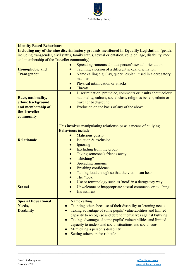

| <b>Identity Based Behaviours</b>                                                                        |                                                                                                                                                                                                                                                                                                                                                                                                                                                                                                            |  |
|---------------------------------------------------------------------------------------------------------|------------------------------------------------------------------------------------------------------------------------------------------------------------------------------------------------------------------------------------------------------------------------------------------------------------------------------------------------------------------------------------------------------------------------------------------------------------------------------------------------------------|--|
|                                                                                                         | Including any of the nine discriminatory grounds mentioned in Equality Legislation (gender                                                                                                                                                                                                                                                                                                                                                                                                                 |  |
| including transgender, civil status, family status, sexual orientation, religion, age, disability, race |                                                                                                                                                                                                                                                                                                                                                                                                                                                                                                            |  |
| and membership of the Traveller community).                                                             |                                                                                                                                                                                                                                                                                                                                                                                                                                                                                                            |  |
| <b>Homophobic and</b><br><b>Transgender</b>                                                             | Spreading rumours about a person's sexual orientation<br>Taunting a person of a different sexual orientation<br>$\bullet$<br>Name calling e.g. Gay, queer, lesbianused in a derogatory<br>$\bullet$<br>manner<br>Physical intimidation or attacks<br>$\bullet$<br><b>Threats</b><br>$\bullet$                                                                                                                                                                                                              |  |
| Race, nationality,<br>ethnic background<br>and membership of<br>the Traveller<br>community              | Discrimination, prejudice, comments or insults about colour,<br>$\bullet$<br>nationality, culture, social class, religious beliefs, ethnic or<br>traveller background<br>Exclusion on the basis of any of the above                                                                                                                                                                                                                                                                                        |  |
| <b>Relationale</b>                                                                                      | This involves manipulating relationships as a means of bullying.<br>Behaviours include:<br>Malicious gossip<br>Isolation & exclusion<br>$\bullet$<br>Ignoring<br>$\bullet$<br>Excluding from the group<br>Taking someone's friends away<br>$\bullet$<br>"Bitching"<br>$\bullet$<br><b>Spreading rumours</b><br>$\bullet$<br><b>Breaking confidence</b><br>$\bullet$<br>Talking loud enough so that the victim can hear<br>The "look"<br>$\bullet$<br>Use or terminology such as 'nerd' in a derogatory way |  |
| <b>Sexual</b>                                                                                           | Unwelcome or inappropriate sexual comments or touching<br>$\bullet$<br>Harassment                                                                                                                                                                                                                                                                                                                                                                                                                          |  |
| <b>Special Educational</b><br>Needs,<br><b>Disability</b>                                               | Name calling<br>Taunting others because of their disability or learning needs<br>Taking advantage of some pupils' vulnerabilities and limited<br>capacity to recognise and defend themselves against bullying<br>Taking advantage of some pupils' vulnerabilities and limited<br>capacity to understand social situations and social cues.<br>Mimicking a person's disability<br>Setting others up for ridicule                                                                                            |  |

 $\mathcal{L}_\mathcal{L} = \{ \mathcal{L}_\mathcal{L} = \{ \mathcal{L}_\mathcal{L} = \{ \mathcal{L}_\mathcal{L} = \{ \mathcal{L}_\mathcal{L} = \{ \mathcal{L}_\mathcal{L} = \{ \mathcal{L}_\mathcal{L} = \{ \mathcal{L}_\mathcal{L} = \{ \mathcal{L}_\mathcal{L} = \{ \mathcal{L}_\mathcal{L} = \{ \mathcal{L}_\mathcal{L} = \{ \mathcal{L}_\mathcal{L} = \{ \mathcal{L}_\mathcal{L} = \{ \mathcal{L}_\mathcal{L} = \{ \mathcal{L}_\mathcal{$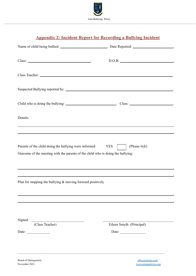

# **Appendix 2: Incident Report for Recording a Bullying Incident**

| Class: Note and the contract of the contract of the contract of the contract of the contract of the contract of the contract of the contract of the contract of the contract of the contract of the contract of the contract o    | D.O.B:                                            |
|-----------------------------------------------------------------------------------------------------------------------------------------------------------------------------------------------------------------------------------|---------------------------------------------------|
|                                                                                                                                                                                                                                   |                                                   |
|                                                                                                                                                                                                                                   |                                                   |
| Child who is doing the bullying: _________________________________. Class: _________________________                                                                                                                              |                                                   |
| Details:<br><u> 1989 - Johann Stoff, amerikansk politiker (d. 1989)</u>                                                                                                                                                           |                                                   |
| Parents of the child doing the bullying were informed YES<br>Outcome of the meeting with the parents of the child who is doing the bullying:<br>,我们也不能在这里的时候,我们也不能在这里的时候,我们也不能会在这里的时候,我们也不能会在这里的时候,我们也不能会在这里的时候,我们也不能会在这里的时候,我们也不 | (Please tick)                                     |
| ,我们也不会有什么。""我们的人,我们也不会有什么?""我们的人,我们也不会有什么?""我们的人,我们的人,我们的人,我们的人,我们的人,我们的人,我们的人,我<br>Plan for stopping the bullying $&$ moving forward positively                                                                                  |                                                   |
| Signed:<br>(Class Teacher)<br>Date: $\qquad \qquad$                                                                                                                                                                               | Eileen Smyth (Principal)<br>Date: $\qquad \qquad$ |
|                                                                                                                                                                                                                                   |                                                   |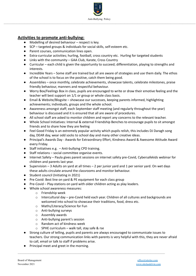

#### **Activities to promote anti-bullying:**

- Modelling of desired behaviour respect is key.
- SCP targeted groups & individuals for social skills, self-esteem etc.
- Parent courses, communication lines open.
- Extra-curricular activities; hurling, football, cross country etc. Hurling for targeted students
- Links with the community GAA Club, Karate, Cross Country
- Curricular each child is given the opportunity to succeed; differentiation, playing to strengths and interests.
- Incredible Years Some staff are trained but all are aware of strategies and use them daily. The ethos of the school is to focus on the positive, catch them being good.
- Assemblies once monthly, celebrate achievements, showcase talents, celebrate milestones, praise friendly behaviour, manners and respectful behaviour.
- Worry Box/Feelings Box in class, pupils are encouraged to write or draw their emotive feeling and the teacher will best support on 1/1 or group or whole class basis.
- Email & Website/Blogsite showcase our successes, keeping parents informed, highlighting achievements; individuals, groups and the whole school.
- Awareness amongst staff; each September staff meeting (and regularly throughout the year) behaviour is discussed and it is ensured that all are aware of procedures.
- All school staff are asked to monitor children and report any concerns to the relevant teacher.
- Whole School Initiatives: Internal & external Friendship Benches to encourage pupils to sit amongst friends and to share how they are feeling
- Feel Good Friday is an extremely popular activity which pupils relish, this includes DJ Daragh song day, DEAR day, wear odd socks to school day and many other creative ideas.
- Principal's Awards Day Awards for Extraordinary Effort, Kindness Award & Awesome Attitude Award every Friday.
- Staff initiatives e.g. Anti-bullying CPD training.
- Staff relations social committee organise events.
- Internet Safety Paula gives parent sessions on internet safety pre-Covid, Cybersafekids webinar for children and parents last year.
- Supervision 3 Adults on yard at all times 2 per junior yard and 1 per senior yard. On wet days these adults circulate around the classrooms and monitor behaviour.
- Student council (Initiating in 2021)
- Pre Covid: Best line on yard & PE equipment for each class group
- Pre-Covid Play-stations on yard with older children acting as play leaders.
- Whole school awareness measures:
	- o Friendship week
	- o Intercultural day pre-Covid held each year. Children of all cultures and backgrounds are welcomed into school to showcase their traditions, food, dress etc.
	- o Maths/Literacy/Science for Fun
	- o Anti-bullying surveys
	- o Assembly awards
	- o Anti-bullying parent's session
	- o Random act of kindness week
	- o SPHE curriculum walk tall, stay safe & rse
- Strong culture of telling, pupils and parents are always encouraged to communicate issues to teachers. Our strong communication links with parents is very helpful with this, they are never afraid to call, email or talk to staff if problems arise.

 $\mathcal{L}_\mathcal{L} = \{ \mathcal{L}_\mathcal{L} = \{ \mathcal{L}_\mathcal{L} = \{ \mathcal{L}_\mathcal{L} = \{ \mathcal{L}_\mathcal{L} = \{ \mathcal{L}_\mathcal{L} = \{ \mathcal{L}_\mathcal{L} = \{ \mathcal{L}_\mathcal{L} = \{ \mathcal{L}_\mathcal{L} = \{ \mathcal{L}_\mathcal{L} = \{ \mathcal{L}_\mathcal{L} = \{ \mathcal{L}_\mathcal{L} = \{ \mathcal{L}_\mathcal{L} = \{ \mathcal{L}_\mathcal{L} = \{ \mathcal{L}_\mathcal{$ 

● Principal meet and greet in the morning.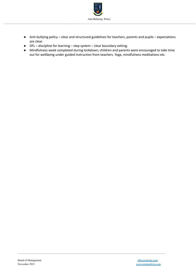

- Anti-bullying policy clear and structured guidelines for teachers, parents and pupils expectations are clear.
- DFL discipline for learning step system clear boundary setting.
- Mindfulness week completed during lockdown; children and parents were encouraged to take time out for wellbeing under guided instruction from teachers. Yoga, mindfulness meditations etc.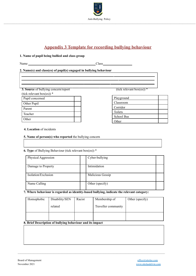

# **Appendix 3 Template for recording bullying behaviour**

#### **1. Name of pupil being bullied and class group**

Name Class

#### **2. Name(s) and class(es) of pupil(s) engaged in bullying behaviour**

**3. Source** of bullying concern/report

(tick relevant box(es)) \*

| $\frac{1}{2}$   |  |
|-----------------|--|
| Pupil concerned |  |
| Other Pupil     |  |
| Parent          |  |
| Teacher         |  |
| Other           |  |

(tick relevant box(es))  $*$ 

| Playground        |  |
|-------------------|--|
| Classroom         |  |
| Corridor          |  |
| Toilets           |  |
| <b>School Bus</b> |  |
| Other             |  |

#### **4. Location** of incidents

#### **5. Name of person(s) who reported** the bullying concern

#### **6. Type** of Bullying Behaviour (tick relevant box(es)) \*

| Physical Aggression | Cyber-bullying   |
|---------------------|------------------|
| Damage to Property  | Intimidation     |
| Isolation/Exclusion | Malicious Gossip |
| Name Calling        | Other (specify)  |

#### **7. Where behaviour is regarded as identity-based bullying, indicate the relevant category:**

| Homophobic | Disability/SEN | Racist | Membership of       | Other (specify) |
|------------|----------------|--------|---------------------|-----------------|
|            | related        |        | Traveller community |                 |
|            |                |        |                     |                 |

 $\mathcal{L}_\mathcal{L} = \{ \mathcal{L}_\mathcal{L} = \{ \mathcal{L}_\mathcal{L} = \{ \mathcal{L}_\mathcal{L} = \{ \mathcal{L}_\mathcal{L} = \{ \mathcal{L}_\mathcal{L} = \{ \mathcal{L}_\mathcal{L} = \{ \mathcal{L}_\mathcal{L} = \{ \mathcal{L}_\mathcal{L} = \{ \mathcal{L}_\mathcal{L} = \{ \mathcal{L}_\mathcal{L} = \{ \mathcal{L}_\mathcal{L} = \{ \mathcal{L}_\mathcal{L} = \{ \mathcal{L}_\mathcal{L} = \{ \mathcal{L}_\mathcal{$ 

#### **8. Brief Description of bullying behaviour and its impact**